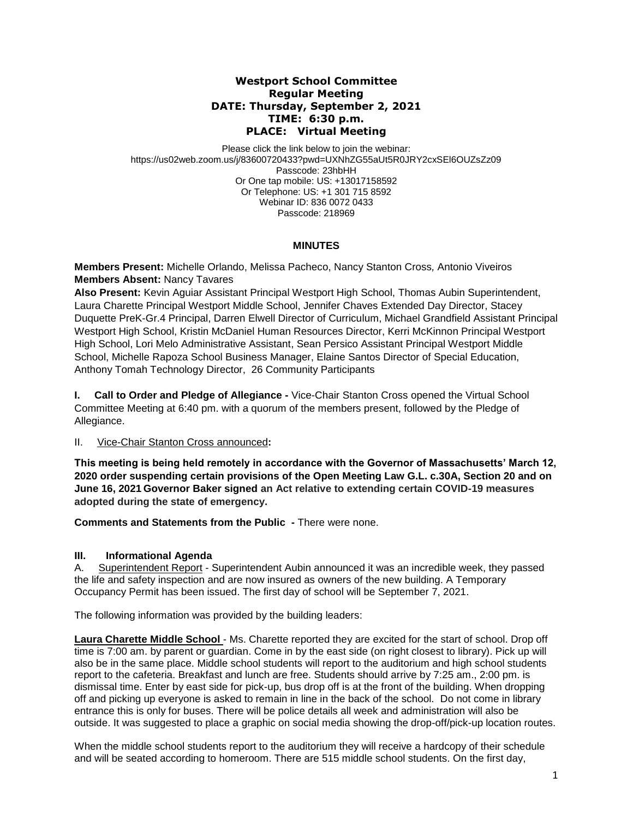## **Westport School Committee Regular Meeting DATE: Thursday, September 2, 2021 TIME: 6:30 p.m. PLACE: Virtual Meeting**

Please click the link below to join the webinar: https://us02web.zoom.us/j/83600720433?pwd=UXNhZG55aUt5R0JRY2cxSEl6OUZsZz09 Passcode: 23hbHH Or One tap mobile: US: +13017158592 Or Telephone: US: +1 301 715 8592 Webinar ID: 836 0072 0433 Passcode: 218969

## **MINUTES**

**Members Present:** Michelle Orlando, Melissa Pacheco, Nancy Stanton Cross*,* Antonio Viveiros **Members Absent:** Nancy Tavares

**Also Present:** Kevin Aguiar Assistant Principal Westport High School, Thomas Aubin Superintendent, Laura Charette Principal Westport Middle School, Jennifer Chaves Extended Day Director, Stacey Duquette PreK-Gr.4 Principal, Darren Elwell Director of Curriculum, Michael Grandfield Assistant Principal Westport High School, Kristin McDaniel Human Resources Director, Kerri McKinnon Principal Westport High School, Lori Melo Administrative Assistant, Sean Persico Assistant Principal Westport Middle School, Michelle Rapoza School Business Manager, Elaine Santos Director of Special Education, Anthony Tomah Technology Director, 26 Community Participants

**I. Call to Order and Pledge of Allegiance -** Vice-Chair Stanton Cross opened the Virtual School Committee Meeting at 6:40 pm. with a quorum of the members present, followed by the Pledge of Allegiance.

II. Vice-Chair Stanton Cross announced**:** 

**This meeting is being held remotely in accordance with the Governor of Massachusetts' March 12, 2020 order suspending certain provisions of the Open Meeting Law G.L. c.30A, Section 20 and on June 16, 2021 Governor Baker signed an Act relative to extending certain COVID-19 measures adopted during the state of emergency.**

**Comments and Statements from the Public -** There were none.

## **III. Informational Agenda**

A. Superintendent Report - Superintendent Aubin announced it was an incredible week, they passed the life and safety inspection and are now insured as owners of the new building. A Temporary Occupancy Permit has been issued. The first day of school will be September 7, 2021.

The following information was provided by the building leaders:

**Laura Charette Middle School** - Ms. Charette reported they are excited for the start of school. Drop off time is 7:00 am. by parent or guardian. Come in by the east side (on right closest to library). Pick up will also be in the same place. Middle school students will report to the auditorium and high school students report to the cafeteria. Breakfast and lunch are free. Students should arrive by 7:25 am., 2:00 pm. is dismissal time. Enter by east side for pick-up, bus drop off is at the front of the building. When dropping off and picking up everyone is asked to remain in line in the back of the school. Do not come in library entrance this is only for buses. There will be police details all week and administration will also be outside. It was suggested to place a graphic on social media showing the drop-off/pick-up location routes.

When the middle school students report to the auditorium they will receive a hardcopy of their schedule and will be seated according to homeroom. There are 515 middle school students. On the first day,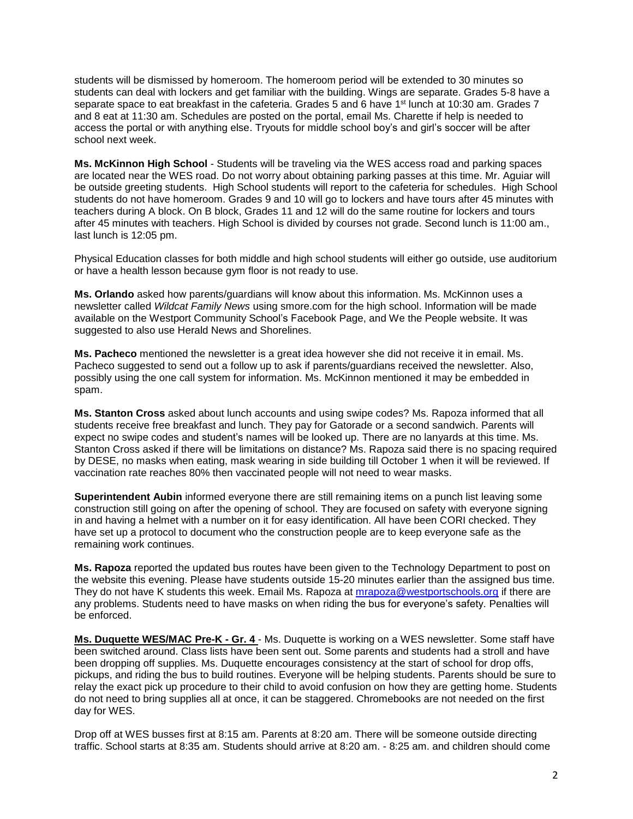students will be dismissed by homeroom. The homeroom period will be extended to 30 minutes so students can deal with lockers and get familiar with the building. Wings are separate. Grades 5-8 have a separate space to eat breakfast in the cafeteria. Grades 5 and 6 have 1st lunch at 10:30 am. Grades 7 and 8 eat at 11:30 am. Schedules are posted on the portal, email Ms. Charette if help is needed to access the portal or with anything else. Tryouts for middle school boy's and girl's soccer will be after school next week.

**Ms. McKinnon High School** - Students will be traveling via the WES access road and parking spaces are located near the WES road. Do not worry about obtaining parking passes at this time. Mr. Aguiar will be outside greeting students. High School students will report to the cafeteria for schedules. High School students do not have homeroom. Grades 9 and 10 will go to lockers and have tours after 45 minutes with teachers during A block. On B block, Grades 11 and 12 will do the same routine for lockers and tours after 45 minutes with teachers. High School is divided by courses not grade. Second lunch is 11:00 am., last lunch is 12:05 pm.

Physical Education classes for both middle and high school students will either go outside, use auditorium or have a health lesson because gym floor is not ready to use.

**Ms. Orlando** asked how parents/guardians will know about this information. Ms. McKinnon uses a newsletter called *Wildcat Family News* using smore.com for the high school. Information will be made available on the Westport Community School's Facebook Page, and We the People website. It was suggested to also use Herald News and Shorelines.

**Ms. Pacheco** mentioned the newsletter is a great idea however she did not receive it in email. Ms. Pacheco suggested to send out a follow up to ask if parents/guardians received the newsletter. Also, possibly using the one call system for information. Ms. McKinnon mentioned it may be embedded in spam.

**Ms. Stanton Cross** asked about lunch accounts and using swipe codes? Ms. Rapoza informed that all students receive free breakfast and lunch. They pay for Gatorade or a second sandwich. Parents will expect no swipe codes and student's names will be looked up. There are no lanyards at this time. Ms. Stanton Cross asked if there will be limitations on distance? Ms. Rapoza said there is no spacing required by DESE, no masks when eating, mask wearing in side building till October 1 when it will be reviewed. If vaccination rate reaches 80% then vaccinated people will not need to wear masks.

**Superintendent Aubin** informed everyone there are still remaining items on a punch list leaving some construction still going on after the opening of school. They are focused on safety with everyone signing in and having a helmet with a number on it for easy identification. All have been CORI checked. They have set up a protocol to document who the construction people are to keep everyone safe as the remaining work continues.

**Ms. Rapoza** reported the updated bus routes have been given to the Technology Department to post on the website this evening. Please have students outside 15-20 minutes earlier than the assigned bus time. They do not have K students this week. Email Ms. Rapoza at [mrapoza@westportschools.org](mailto:mrapoza@westportschools.org) if there are any problems. Students need to have masks on when riding the bus for everyone's safety. Penalties will be enforced.

**Ms. Duquette WES/MAC Pre-K - Gr. 4** - Ms. Duquette is working on a WES newsletter. Some staff have been switched around. Class lists have been sent out. Some parents and students had a stroll and have been dropping off supplies. Ms. Duquette encourages consistency at the start of school for drop offs, pickups, and riding the bus to build routines. Everyone will be helping students. Parents should be sure to relay the exact pick up procedure to their child to avoid confusion on how they are getting home. Students do not need to bring supplies all at once, it can be staggered. Chromebooks are not needed on the first day for WES.

Drop off at WES busses first at 8:15 am. Parents at 8:20 am. There will be someone outside directing traffic. School starts at 8:35 am. Students should arrive at 8:20 am. - 8:25 am. and children should come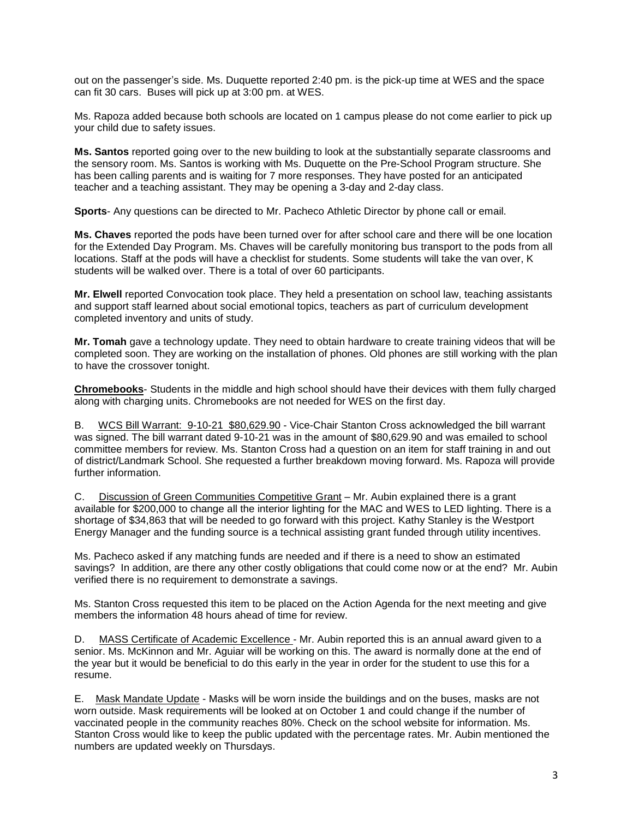out on the passenger's side. Ms. Duquette reported 2:40 pm. is the pick-up time at WES and the space can fit 30 cars. Buses will pick up at 3:00 pm. at WES.

Ms. Rapoza added because both schools are located on 1 campus please do not come earlier to pick up your child due to safety issues.

**Ms. Santos** reported going over to the new building to look at the substantially separate classrooms and the sensory room. Ms. Santos is working with Ms. Duquette on the Pre-School Program structure. She has been calling parents and is waiting for 7 more responses. They have posted for an anticipated teacher and a teaching assistant. They may be opening a 3-day and 2-day class.

**Sports**- Any questions can be directed to Mr. Pacheco Athletic Director by phone call or email.

**Ms. Chaves** reported the pods have been turned over for after school care and there will be one location for the Extended Day Program. Ms. Chaves will be carefully monitoring bus transport to the pods from all locations. Staff at the pods will have a checklist for students. Some students will take the van over, K students will be walked over. There is a total of over 60 participants.

**Mr. Elwell** reported Convocation took place. They held a presentation on school law, teaching assistants and support staff learned about social emotional topics, teachers as part of curriculum development completed inventory and units of study.

**Mr. Tomah** gave a technology update. They need to obtain hardware to create training videos that will be completed soon. They are working on the installation of phones. Old phones are still working with the plan to have the crossover tonight.

**Chromebooks**- Students in the middle and high school should have their devices with them fully charged along with charging units. Chromebooks are not needed for WES on the first day.

B. WCS Bill Warrant: 9-10-21 \$80,629.90 - Vice-Chair Stanton Cross acknowledged the bill warrant was signed. The bill warrant dated 9-10-21 was in the amount of \$80,629.90 and was emailed to school committee members for review. Ms. Stanton Cross had a question on an item for staff training in and out of district/Landmark School. She requested a further breakdown moving forward. Ms. Rapoza will provide further information.

C. Discussion of Green Communities Competitive Grant – Mr. Aubin explained there is a grant available for \$200,000 to change all the interior lighting for the MAC and WES to LED lighting. There is a shortage of \$34,863 that will be needed to go forward with this project. Kathy Stanley is the Westport Energy Manager and the funding source is a technical assisting grant funded through utility incentives.

Ms. Pacheco asked if any matching funds are needed and if there is a need to show an estimated savings? In addition, are there any other costly obligations that could come now or at the end? Mr. Aubin verified there is no requirement to demonstrate a savings.

Ms. Stanton Cross requested this item to be placed on the Action Agenda for the next meeting and give members the information 48 hours ahead of time for review.

D. MASS Certificate of Academic Excellence - Mr. Aubin reported this is an annual award given to a senior. Ms. McKinnon and Mr. Aguiar will be working on this. The award is normally done at the end of the year but it would be beneficial to do this early in the year in order for the student to use this for a resume.

E. Mask Mandate Update - Masks will be worn inside the buildings and on the buses, masks are not worn outside. Mask requirements will be looked at on October 1 and could change if the number of vaccinated people in the community reaches 80%. Check on the school website for information. Ms. Stanton Cross would like to keep the public updated with the percentage rates. Mr. Aubin mentioned the numbers are updated weekly on Thursdays.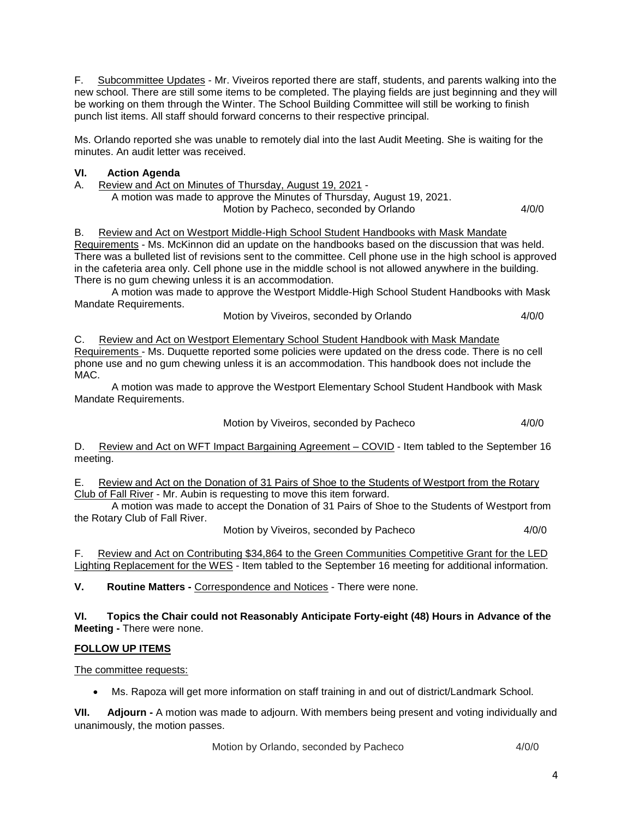F. Subcommittee Updates - Mr. Viveiros reported there are staff, students, and parents walking into the new school. There are still some items to be completed. The playing fields are just beginning and they will be working on them through the Winter. The School Building Committee will still be working to finish punch list items. All staff should forward concerns to their respective principal.

Ms. Orlando reported she was unable to remotely dial into the last Audit Meeting. She is waiting for the minutes. An audit letter was received.

## **VI. Action Agenda**

A. Review and Act on Minutes of Thursday, August 19, 2021 -

A motion was made to approve the Minutes of Thursday, August 19, 2021. Motion by Pacheco, seconded by Orlando 4/0/0

B. Review and Act on Westport Middle-High School Student Handbooks with Mask Mandate Requirements - Ms. McKinnon did an update on the handbooks based on the discussion that was held. There was a bulleted list of revisions sent to the committee. Cell phone use in the high school is approved in the cafeteria area only. Cell phone use in the middle school is not allowed anywhere in the building. There is no gum chewing unless it is an accommodation.

A motion was made to approve the Westport Middle-High School Student Handbooks with Mask Mandate Requirements.

Motion by Viveiros, seconded by Orlando 4/0/0

C. Review and Act on Westport Elementary School Student Handbook with Mask Mandate Requirements - Ms. Duquette reported some policies were updated on the dress code. There is no cell phone use and no gum chewing unless it is an accommodation. This handbook does not include the MAC.

A motion was made to approve the Westport Elementary School Student Handbook with Mask Mandate Requirements.

Motion by Viveiros, seconded by Pacheco 4/0/0

D. Review and Act on WFT Impact Bargaining Agreement – COVID - Item tabled to the September 16 meeting.

E. Review and Act on the Donation of 31 Pairs of Shoe to the Students of Westport from the Rotary Club of Fall River - Mr. Aubin is requesting to move this item forward.

A motion was made to accept the Donation of 31 Pairs of Shoe to the Students of Westport from the Rotary Club of Fall River.

Motion by Viveiros, seconded by Pacheco 4/0/0

F. Review and Act on Contributing \$34,864 to the Green Communities Competitive Grant for the LED Lighting Replacement for the WES - Item tabled to the September 16 meeting for additional information.

**V. Routine Matters -** Correspondence and Notices - There were none.

#### **VI. Topics the Chair could not Reasonably Anticipate Forty-eight (48) Hours in Advance of the Meeting -** There were none.

# **FOLLOW UP ITEMS**

The committee requests:

Ms. Rapoza will get more information on staff training in and out of district/Landmark School.

**VII. Adjourn -** A motion was made to adjourn. With members being present and voting individually and unanimously, the motion passes.